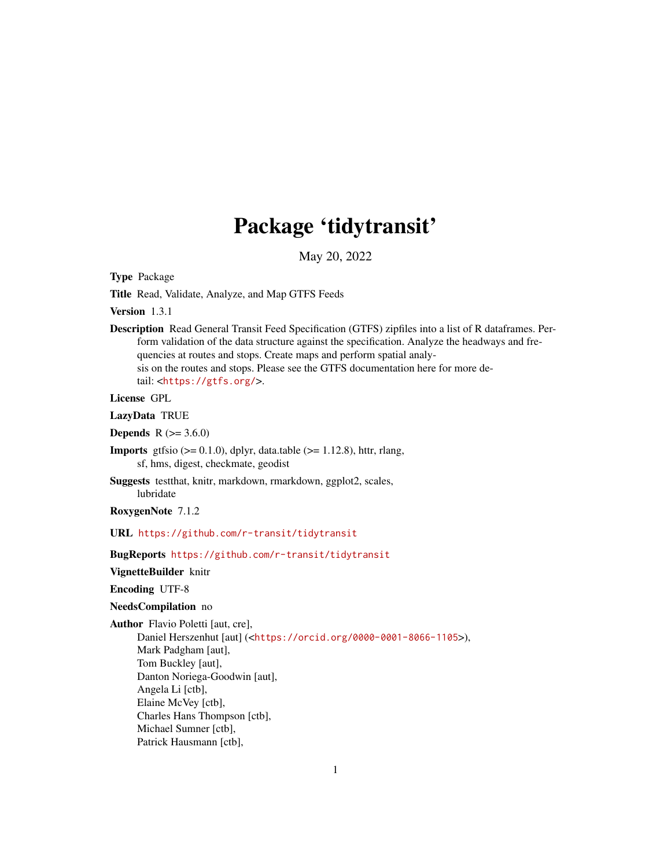# Package 'tidytransit'

May 20, 2022

<span id="page-0-0"></span>Type Package

Title Read, Validate, Analyze, and Map GTFS Feeds

Version 1.3.1

Description Read General Transit Feed Specification (GTFS) zipfiles into a list of R dataframes. Perform validation of the data structure against the specification. Analyze the headways and frequencies at routes and stops. Create maps and perform spatial analysis on the routes and stops. Please see the GTFS documentation here for more detail: <<https://gtfs.org/>>.

License GPL

LazyData TRUE

**Depends** R  $(>= 3.6.0)$ 

**Imports** gtfsio ( $> = 0.1.0$ ), dplyr, data.table ( $> = 1.12.8$ ), httr, rlang, sf, hms, digest, checkmate, geodist

Suggests testthat, knitr, markdown, rmarkdown, ggplot2, scales, lubridate

RoxygenNote 7.1.2

URL <https://github.com/r-transit/tidytransit>

BugReports <https://github.com/r-transit/tidytransit>

VignetteBuilder knitr

Encoding UTF-8

#### NeedsCompilation no

Author Flavio Poletti [aut, cre],

Daniel Herszenhut [aut] (<<https://orcid.org/0000-0001-8066-1105>>), Mark Padgham [aut], Tom Buckley [aut], Danton Noriega-Goodwin [aut], Angela Li [ctb], Elaine McVey [ctb], Charles Hans Thompson [ctb], Michael Sumner [ctb], Patrick Hausmann [ctb],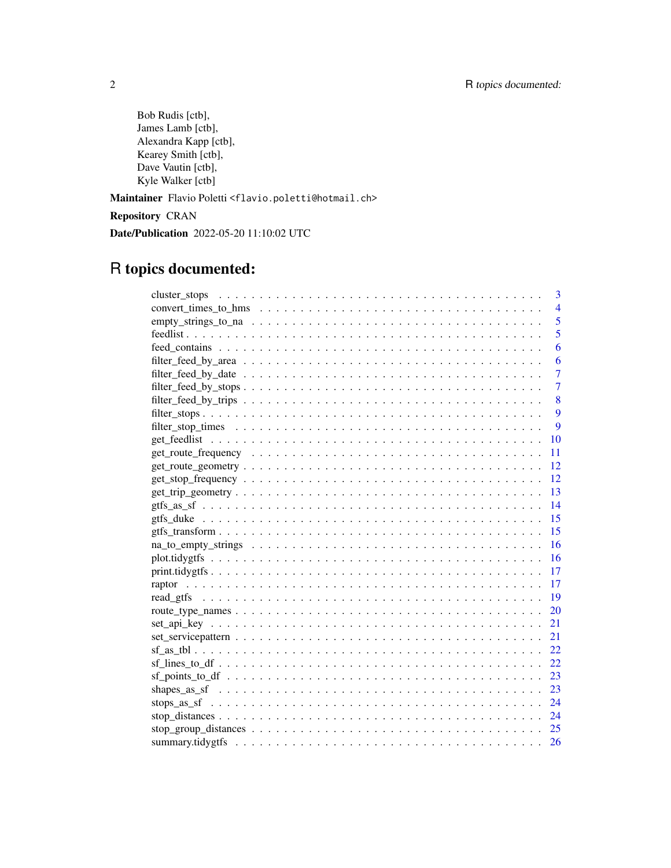Bob Rudis [ctb], James Lamb [ctb], Alexandra Kapp [ctb], Kearey Smith [ctb], Dave Vautin [ctb], Kyle Walker [ctb]

Maintainer Flavio Poletti <flavio.poletti@hotmail.ch>

Repository CRAN

Date/Publication 2022-05-20 11:10:02 UTC

## R topics documented:

|      | 3              |
|------|----------------|
|      | $\overline{4}$ |
|      | $\overline{5}$ |
|      | 5              |
|      | 6              |
|      | 6              |
|      | $\overline{7}$ |
|      | $\overline{7}$ |
|      | 8              |
|      | 9              |
|      | 9              |
|      | 10             |
|      | 11             |
|      | 12             |
|      | 12             |
|      | 13             |
| 14   |                |
|      |                |
|      |                |
|      |                |
| - 16 |                |
|      |                |
|      |                |
|      |                |
|      |                |
| 21   |                |
| 21   |                |
|      | 22             |
|      |                |
|      |                |
|      |                |
|      |                |
|      |                |
|      |                |
|      | 26             |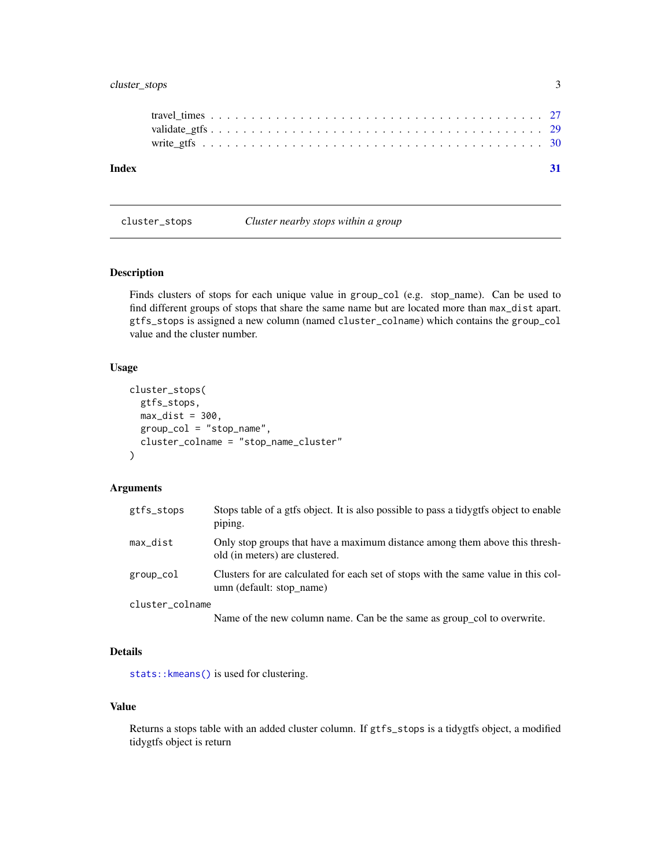## <span id="page-2-0"></span>cluster\_stops 3

| Index |  |  |  |  |  |  |  |  |  |  |  |  |  |  |  |  |  |  |
|-------|--|--|--|--|--|--|--|--|--|--|--|--|--|--|--|--|--|--|
|       |  |  |  |  |  |  |  |  |  |  |  |  |  |  |  |  |  |  |
|       |  |  |  |  |  |  |  |  |  |  |  |  |  |  |  |  |  |  |
|       |  |  |  |  |  |  |  |  |  |  |  |  |  |  |  |  |  |  |
|       |  |  |  |  |  |  |  |  |  |  |  |  |  |  |  |  |  |  |

<span id="page-2-1"></span>cluster\_stops *Cluster nearby stops within a group*

## Description

Finds clusters of stops for each unique value in group\_col (e.g. stop\_name). Can be used to find different groups of stops that share the same name but are located more than max\_dist apart. gtfs\_stops is assigned a new column (named cluster\_colname) which contains the group\_col value and the cluster number.

## Usage

```
cluster_stops(
 gtfs_stops,
 max\_dist = 300,
 group_col = "stop_name",
  cluster_colname = "stop_name_cluster"
)
```
## Arguments

| gtfs_stops      | Stops table of a gtfs object. It is also possible to pass a tidygtfs object to enable<br>piping.               |
|-----------------|----------------------------------------------------------------------------------------------------------------|
| max_dist        | Only stop groups that have a maximum distance among them above this thresh-<br>old (in meters) are clustered.  |
| group_col       | Clusters for are calculated for each set of stops with the same value in this col-<br>umn (default: stop name) |
| cluster_colname |                                                                                                                |
|                 | Name of the new column name. Can be the same as group_col to overwrite.                                        |

#### Details

[stats::kmeans\(\)](#page-0-0) is used for clustering.

## Value

Returns a stops table with an added cluster column. If gtfs\_stops is a tidygtfs object, a modified tidygtfs object is return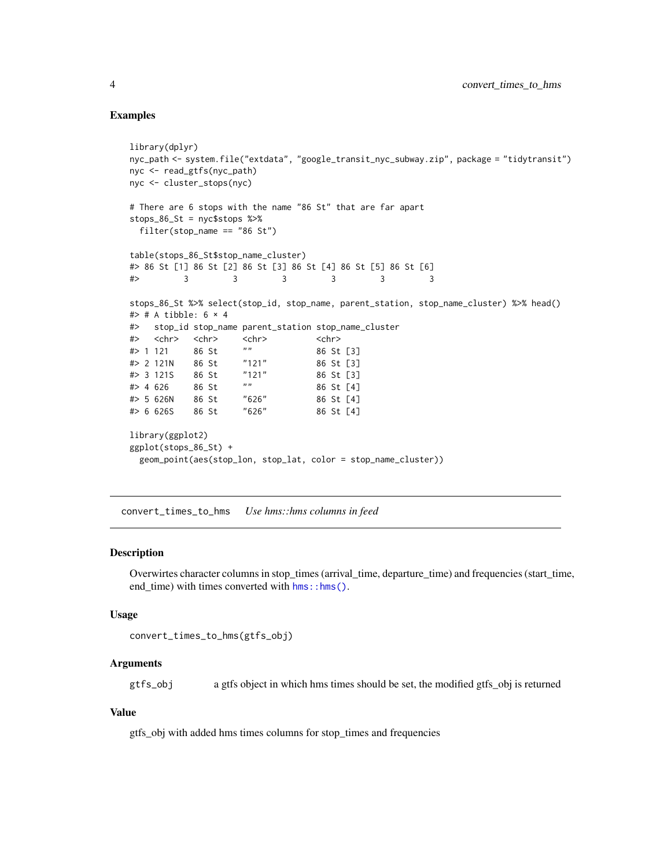#### Examples

```
library(dplyr)
nyc_path <- system.file("extdata", "google_transit_nyc_subway.zip", package = "tidytransit")
nyc <- read_gtfs(nyc_path)
nyc <- cluster_stops(nyc)
# There are 6 stops with the name "86 St" that are far apart
stops_86_St = nyc$stops %>%
 filter(stop_name == "86 St")table(stops_86_St$stop_name_cluster)
#> 86 St [1] 86 St [2] 86 St [3] 86 St [4] 86 St [5] 86 St [6]
#> 3 3 3 3 3 3
stops_86_St %>% select(stop_id, stop_name, parent_station, stop_name_cluster) %>% head()
# # A tibble: 6 \times 4
#> stop_id stop_name parent_station stop_name_cluster
#> <chr> <chr> <chr> <chr>
#> 1 121 86 St "" 86 St [3]
#> 2 121N 86 St "121" 86 St [3]
# 3 121S 86 St "121<br># 4 626 86 St "#> 4 626 86 St "" 86 St [4]
#> 5 626N 86 St "626" 86 St [4]
#> 6 626S 86 St "626" 86 St [4]
library(ggplot2)
ggplot(stops_86_St) +
 geom_point(aes(stop_lon, stop_lat, color = stop_name_cluster))
```
convert\_times\_to\_hms *Use hms::hms columns in feed*

#### Description

Overwirtes character columns in stop\_times (arrival\_time, departure\_time) and frequencies (start\_time, end time) with times converted with  $hms::hms()$ .

#### Usage

```
convert_times_to_hms(gtfs_obj)
```
#### Arguments

gtfs\_obj a gtfs object in which hms times should be set, the modified gtfs\_obj is returned

#### Value

gtfs\_obj with added hms times columns for stop\_times and frequencies

<span id="page-3-0"></span>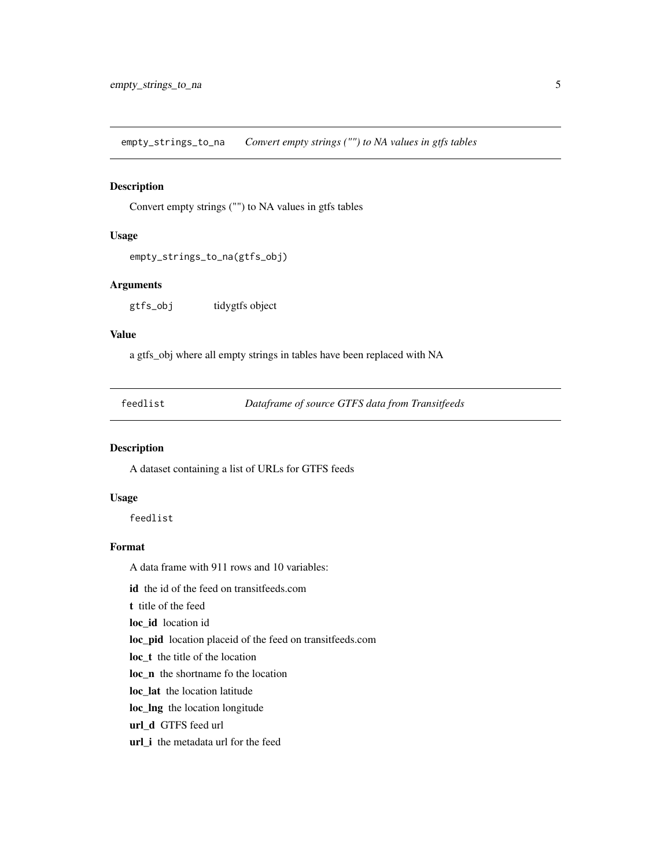<span id="page-4-0"></span>empty\_strings\_to\_na *Convert empty strings ("") to NA values in gtfs tables*

## Description

Convert empty strings ("") to NA values in gtfs tables

## Usage

empty\_strings\_to\_na(gtfs\_obj)

## Arguments

gtfs\_obj tidygtfs object

## Value

a gtfs\_obj where all empty strings in tables have been replaced with NA

feedlist *Dataframe of source GTFS data from Transitfeeds*

#### Description

A dataset containing a list of URLs for GTFS feeds

#### Usage

feedlist

#### Format

A data frame with 911 rows and 10 variables:

id the id of the feed on transitfeeds.com

t title of the feed

loc\_id location id

loc\_pid location placeid of the feed on transitfeeds.com

loc\_t the title of the location

loc\_n the shortname fo the location

loc\_lat the location latitude

loc\_lng the location longitude

url\_d GTFS feed url

url\_i the metadata url for the feed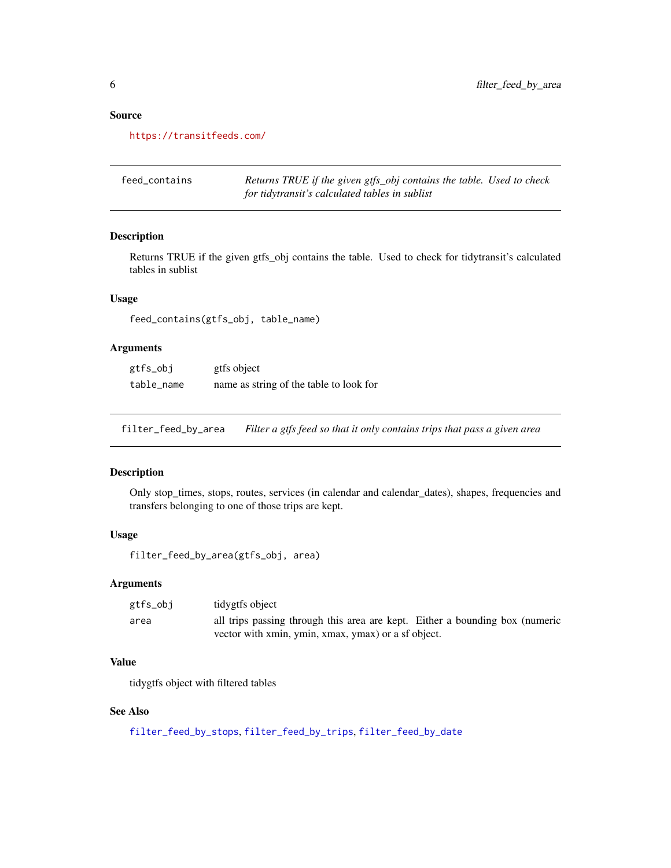## Source

<https://transitfeeds.com/>

| feed contains | Returns TRUE if the given gtfs_obj contains the table. Used to check |  |
|---------------|----------------------------------------------------------------------|--|
|               | for tidytransit's calculated tables in sublist                       |  |

## Description

Returns TRUE if the given gtfs\_obj contains the table. Used to check for tidytransit's calculated tables in sublist

## Usage

feed\_contains(gtfs\_obj, table\_name)

#### Arguments

| gtfs_obj   | gtfs object                             |
|------------|-----------------------------------------|
| table_name | name as string of the table to look for |

<span id="page-5-1"></span>filter\_feed\_by\_area *Filter a gtfs feed so that it only contains trips that pass a given area*

#### Description

Only stop\_times, stops, routes, services (in calendar and calendar\_dates), shapes, frequencies and transfers belonging to one of those trips are kept.

#### Usage

```
filter_feed_by_area(gtfs_obj, area)
```
#### Arguments

| gtfs_obj | tidygtfs object                                                              |  |
|----------|------------------------------------------------------------------------------|--|
| area     | all trips passing through this area are kept. Either a bounding box (numeric |  |
|          | vector with xmin, ymin, xmax, ymax) or a sf object.                          |  |

## Value

tidygtfs object with filtered tables

## See Also

[filter\\_feed\\_by\\_stops](#page-6-1), [filter\\_feed\\_by\\_trips](#page-7-1), [filter\\_feed\\_by\\_date](#page-6-2)

<span id="page-5-0"></span>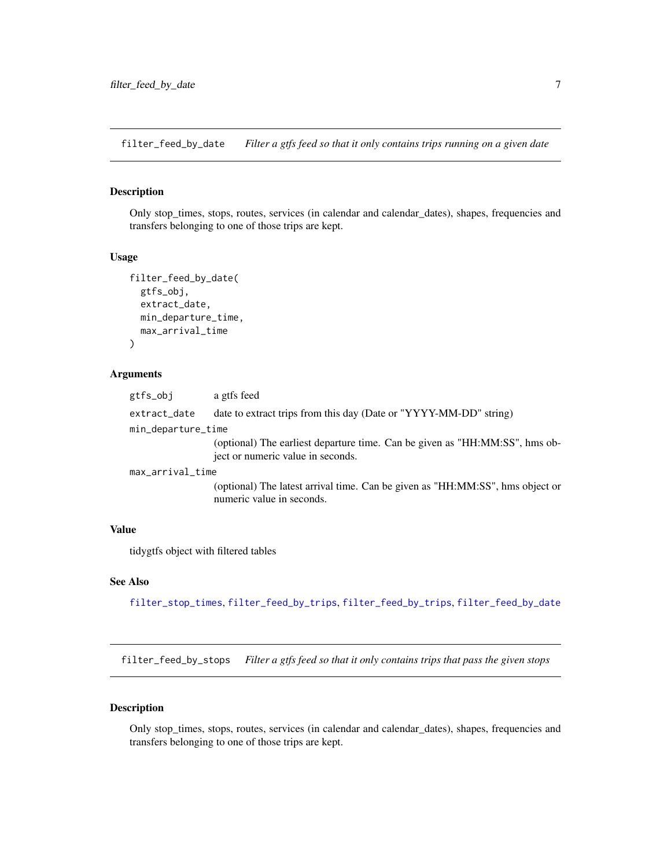<span id="page-6-2"></span><span id="page-6-0"></span>filter\_feed\_by\_date *Filter a gtfs feed so that it only contains trips running on a given date*

## Description

Only stop\_times, stops, routes, services (in calendar and calendar\_dates), shapes, frequencies and transfers belonging to one of those trips are kept.

#### Usage

```
filter_feed_by_date(
  gtfs_obj,
  extract_date,
 min_departure_time,
 max_arrival_time
)
```
## Arguments

| gtfs_obj           | a gtfs feed                                                                                                      |
|--------------------|------------------------------------------------------------------------------------------------------------------|
| extract_date       | date to extract trips from this day (Date or "YYYY-MM-DD" string)                                                |
| min_departure_time |                                                                                                                  |
|                    | (optional) The earliest departure time. Can be given as "HH:MM:SS", hms ob-<br>ject or numeric value in seconds. |
| max_arrival_time   |                                                                                                                  |
|                    | (optional) The latest arrival time. Can be given as "HH:MM:SS", hms object or<br>numeric value in seconds.       |

#### Value

tidygtfs object with filtered tables

#### See Also

[filter\\_stop\\_times](#page-8-1), [filter\\_feed\\_by\\_trips](#page-7-1), [filter\\_feed\\_by\\_trips](#page-7-1), [filter\\_feed\\_by\\_date](#page-6-2)

<span id="page-6-1"></span>filter\_feed\_by\_stops *Filter a gtfs feed so that it only contains trips that pass the given stops*

#### Description

Only stop\_times, stops, routes, services (in calendar and calendar\_dates), shapes, frequencies and transfers belonging to one of those trips are kept.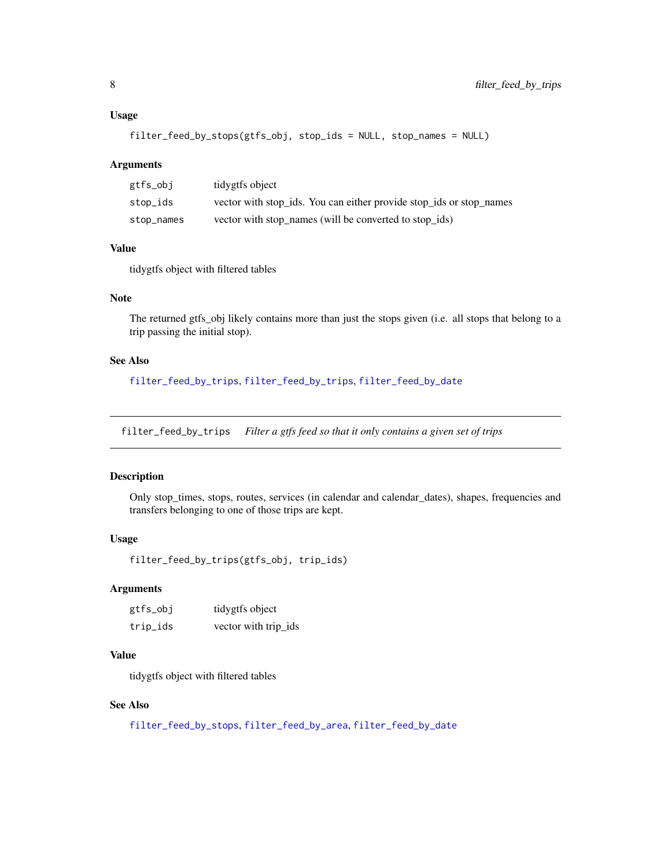#### <span id="page-7-0"></span>Usage

filter\_feed\_by\_stops(gtfs\_obj, stop\_ids = NULL, stop\_names = NULL)

#### Arguments

| gtfs_obj   | tidygtfs object                                                     |
|------------|---------------------------------------------------------------------|
| stop_ids   | vector with stop_ids. You can either provide stop_ids or stop_names |
| stop_names | vector with stop_names (will be converted to stop_ids)              |

#### Value

tidygtfs object with filtered tables

## Note

The returned gtfs\_obj likely contains more than just the stops given (i.e. all stops that belong to a trip passing the initial stop).

## See Also

[filter\\_feed\\_by\\_trips](#page-7-1), [filter\\_feed\\_by\\_trips](#page-7-1), [filter\\_feed\\_by\\_date](#page-6-2)

<span id="page-7-1"></span>filter\_feed\_by\_trips *Filter a gtfs feed so that it only contains a given set of trips*

## Description

Only stop\_times, stops, routes, services (in calendar and calendar\_dates), shapes, frequencies and transfers belonging to one of those trips are kept.

#### Usage

```
filter_feed_by_trips(gtfs_obj, trip_ids)
```
## Arguments

| gtfs_obj | tidygtfs object      |
|----------|----------------------|
| trip_ids | vector with trip_ids |

#### Value

tidygtfs object with filtered tables

## See Also

```
filter_feed_by_stops, filter_feed_by_area, filter_feed_by_date
```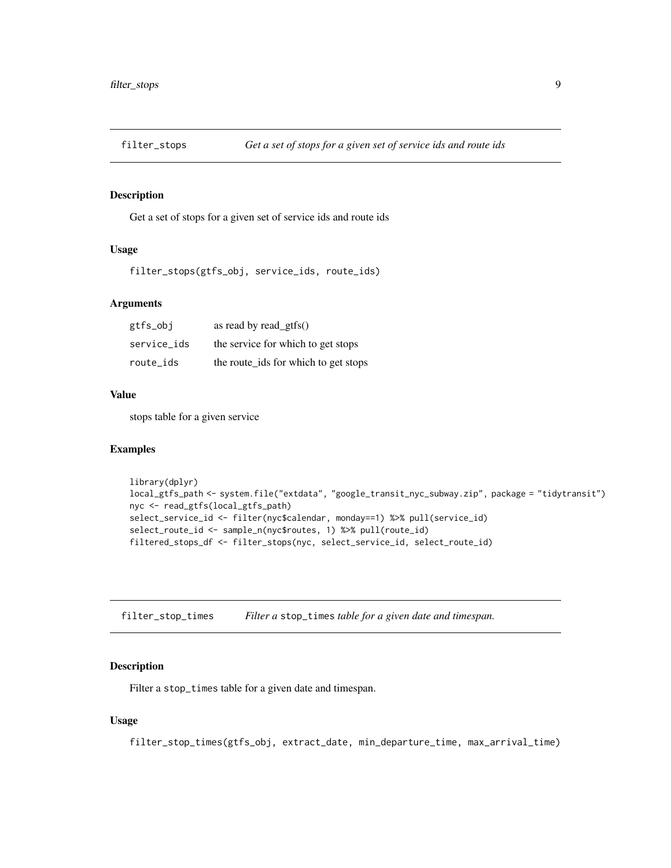<span id="page-8-0"></span>

Get a set of stops for a given set of service ids and route ids

#### Usage

filter\_stops(gtfs\_obj, service\_ids, route\_ids)

#### Arguments

| gtfs_obj    | as read by read_gtfs $()$            |
|-------------|--------------------------------------|
| service ids | the service for which to get stops   |
| route_ids   | the route_ids for which to get stops |

#### Value

stops table for a given service

#### Examples

```
library(dplyr)
local_gtfs_path <- system.file("extdata", "google_transit_nyc_subway.zip", package = "tidytransit")
nyc <- read_gtfs(local_gtfs_path)
select_service_id <- filter(nyc$calendar, monday==1) %>% pull(service_id)
select_route_id <- sample_n(nyc$routes, 1) %>% pull(route_id)
filtered_stops_df <- filter_stops(nyc, select_service_id, select_route_id)
```
<span id="page-8-1"></span>filter\_stop\_times *Filter a* stop\_times *table for a given date and timespan.*

#### Description

Filter a stop\_times table for a given date and timespan.

#### Usage

filter\_stop\_times(gtfs\_obj, extract\_date, min\_departure\_time, max\_arrival\_time)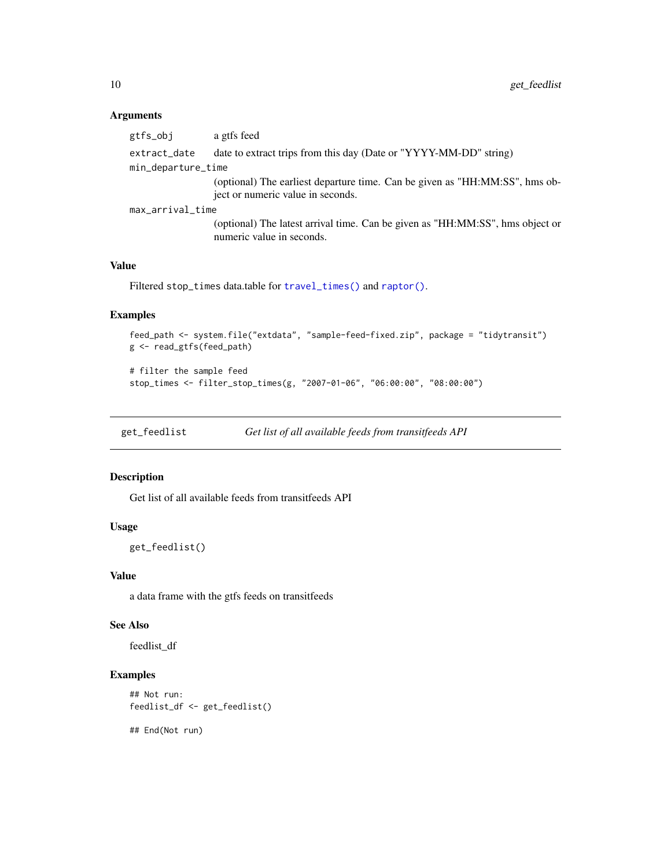#### Arguments

| gtfs_obj           | a gtfs feed                                                                                                      |
|--------------------|------------------------------------------------------------------------------------------------------------------|
| extract_date       | date to extract trips from this day (Date or "YYYY-MM-DD" string)                                                |
| min_departure_time |                                                                                                                  |
|                    | (optional) The earliest departure time. Can be given as "HH:MM:SS", hms ob-<br>ject or numeric value in seconds. |
| max_arrival_time   |                                                                                                                  |
|                    | (optional) The latest arrival time. Can be given as "HH:MM:SS", hms object or<br>numeric value in seconds.       |
|                    |                                                                                                                  |

## Value

Filtered stop\_times data.table for [travel\\_times\(\)](#page-26-1) and [raptor\(\)](#page-16-1).

#### Examples

```
feed_path <- system.file("extdata", "sample-feed-fixed.zip", package = "tidytransit")
g <- read_gtfs(feed_path)
```

```
# filter the sample feed
stop_times <- filter_stop_times(g, "2007-01-06", "06:00:00", "08:00:00")
```
get\_feedlist *Get list of all available feeds from transitfeeds API*

## Description

Get list of all available feeds from transitfeeds API

#### Usage

get\_feedlist()

#### Value

a data frame with the gtfs feeds on transitfeeds

#### See Also

feedlist\_df

## Examples

```
## Not run:
feedlist_df <- get_feedlist()
```
## End(Not run)

<span id="page-9-0"></span>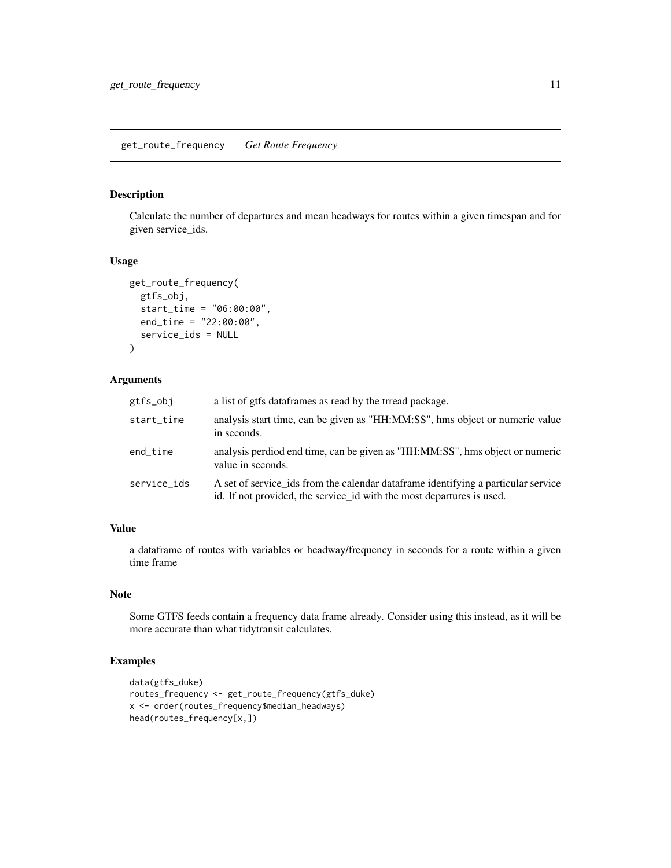<span id="page-10-0"></span>Calculate the number of departures and mean headways for routes within a given timespan and for given service\_ids.

#### Usage

```
get_route_frequency(
  gtfs_obj,
  start_time = "06:00:00",
 end_time = "22:00:00",
  service_ids = NULL
)
```
## Arguments

| gtfs_obj    | a list of gtfs dataframes as read by the trread package.                                                                                                    |
|-------------|-------------------------------------------------------------------------------------------------------------------------------------------------------------|
| start_time  | analysis start time, can be given as "HH:MM:SS", hms object or numeric value<br>in seconds.                                                                 |
| end_time    | analysis perdiod end time, can be given as "HH:MM:SS", hms object or numeric<br>value in seconds.                                                           |
| service ids | A set of service ids from the calendar data frame identifying a particular service<br>id. If not provided, the service id with the most departures is used. |

## Value

a dataframe of routes with variables or headway/frequency in seconds for a route within a given time frame

#### Note

Some GTFS feeds contain a frequency data frame already. Consider using this instead, as it will be more accurate than what tidytransit calculates.

#### Examples

```
data(gtfs_duke)
routes_frequency <- get_route_frequency(gtfs_duke)
x <- order(routes_frequency$median_headways)
head(routes_frequency[x,])
```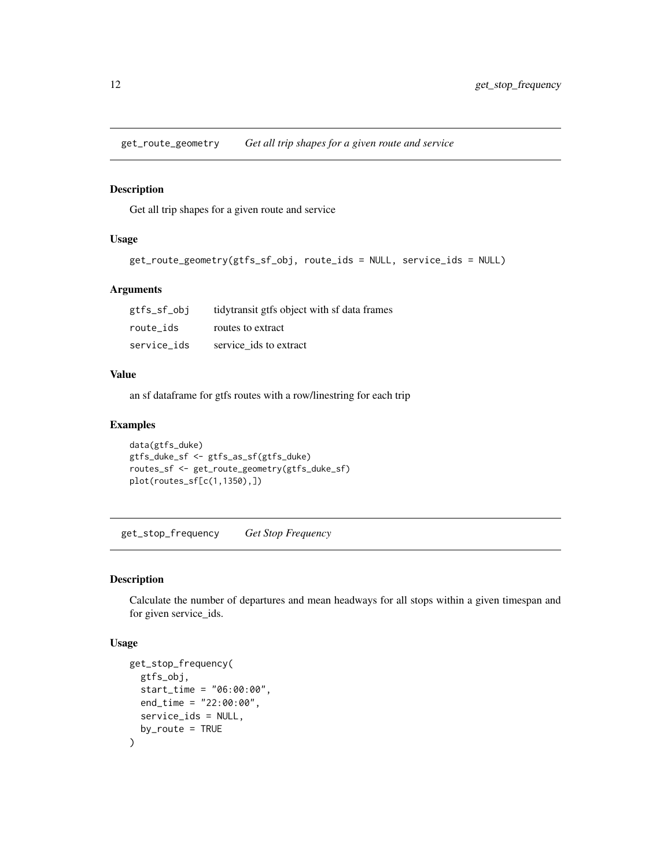<span id="page-11-0"></span>get\_route\_geometry *Get all trip shapes for a given route and service*

#### Description

Get all trip shapes for a given route and service

#### Usage

```
get_route_geometry(gtfs_sf_obj, route_ids = NULL, service_ids = NULL)
```
## Arguments

| gtfs_sf_obj | tidytransit gtfs object with sf data frames |
|-------------|---------------------------------------------|
| route ids   | routes to extract                           |
| service ids | service ids to extract                      |

#### Value

an sf dataframe for gtfs routes with a row/linestring for each trip

#### Examples

```
data(gtfs_duke)
gtfs_duke_sf <- gtfs_as_sf(gtfs_duke)
routes_sf <- get_route_geometry(gtfs_duke_sf)
plot(routes_sf[c(1,1350),])
```
get\_stop\_frequency *Get Stop Frequency*

#### Description

Calculate the number of departures and mean headways for all stops within a given timespan and for given service\_ids.

#### Usage

```
get_stop_frequency(
  gtfs_obj,
  start_time = "06:00:00",
 end_time = "22:00:00",
  service_ids = NULL,
  by\_route = TRUE)
```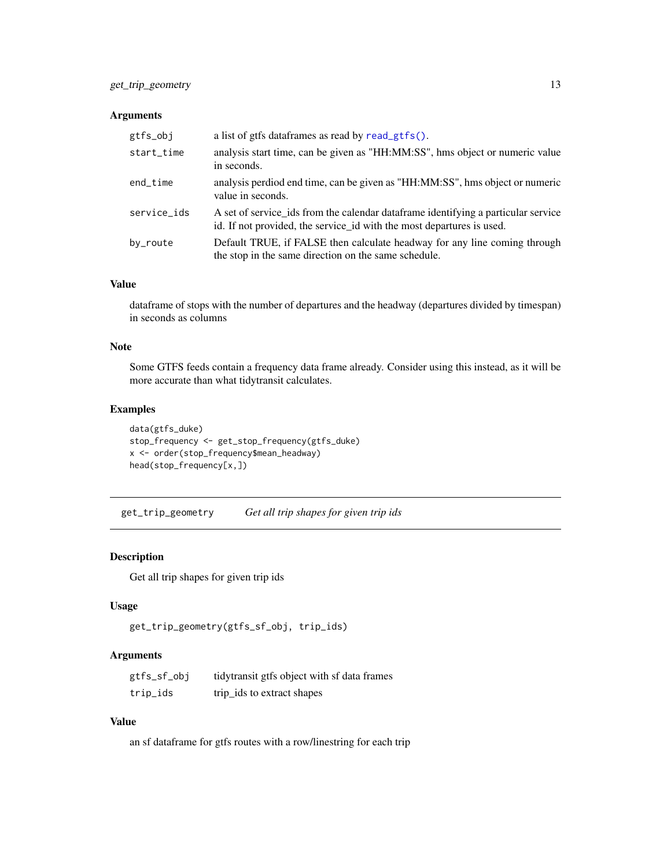#### <span id="page-12-0"></span>Arguments

| gtfs_obj    | a list of gtfs dataframes as read by read_gtfs().                                                                                                           |
|-------------|-------------------------------------------------------------------------------------------------------------------------------------------------------------|
| start_time  | analysis start time, can be given as "HH:MM:SS", hms object or numeric value<br>in seconds.                                                                 |
| end_time    | analysis perdiod end time, can be given as "HH:MM:SS", hms object or numeric<br>value in seconds.                                                           |
| service_ids | A set of service ids from the calendar data frame identifying a particular service<br>id. If not provided, the service id with the most departures is used. |
| by_route    | Default TRUE, if FALSE then calculate headway for any line coming through<br>the stop in the same direction on the same schedule.                           |

#### Value

dataframe of stops with the number of departures and the headway (departures divided by timespan) in seconds as columns

## Note

Some GTFS feeds contain a frequency data frame already. Consider using this instead, as it will be more accurate than what tidytransit calculates.

## Examples

```
data(gtfs_duke)
stop_frequency <- get_stop_frequency(gtfs_duke)
x <- order(stop_frequency$mean_headway)
head(stop_frequency[x,])
```
get\_trip\_geometry *Get all trip shapes for given trip ids*

## Description

Get all trip shapes for given trip ids

## Usage

```
get_trip_geometry(gtfs_sf_obj, trip_ids)
```
## Arguments

| gtfs_sf_obj | tidytransit gtfs object with sf data frames |
|-------------|---------------------------------------------|
| trip_ids    | trip_ids to extract shapes                  |

## Value

an sf dataframe for gtfs routes with a row/linestring for each trip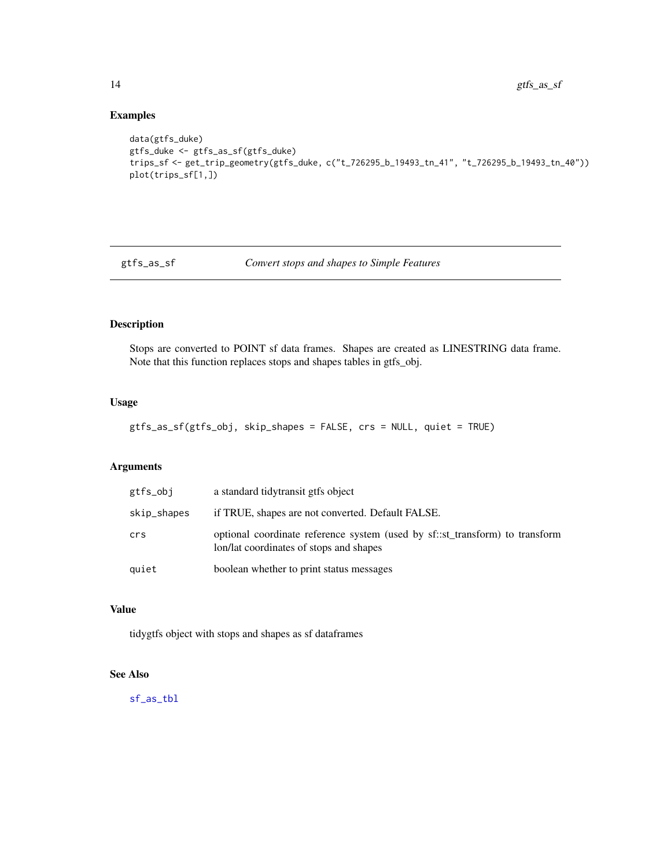## Examples

```
data(gtfs_duke)
gtfs_duke <- gtfs_as_sf(gtfs_duke)
trips_sf <- get_trip_geometry(gtfs_duke, c("t_726295_b_19493_tn_41", "t_726295_b_19493_tn_40"))
plot(trips_sf[1,])
```
<span id="page-13-1"></span>

gtfs\_as\_sf *Convert stops and shapes to Simple Features*

## Description

Stops are converted to POINT sf data frames. Shapes are created as LINESTRING data frame. Note that this function replaces stops and shapes tables in gtfs\_obj.

#### Usage

gtfs\_as\_sf(gtfs\_obj, skip\_shapes = FALSE, crs = NULL, quiet = TRUE)

## Arguments

| gtfs_obj    | a standard tidytransit gtfs object                                                                                      |
|-------------|-------------------------------------------------------------------------------------------------------------------------|
| skip_shapes | if TRUE, shapes are not converted. Default FALSE.                                                                       |
| crs         | optional coordinate reference system (used by sf::st_transform) to transform<br>lon/lat coordinates of stops and shapes |
| quiet       | boolean whether to print status messages                                                                                |

## Value

tidygtfs object with stops and shapes as sf dataframes

#### See Also

[sf\\_as\\_tbl](#page-21-1)

<span id="page-13-0"></span>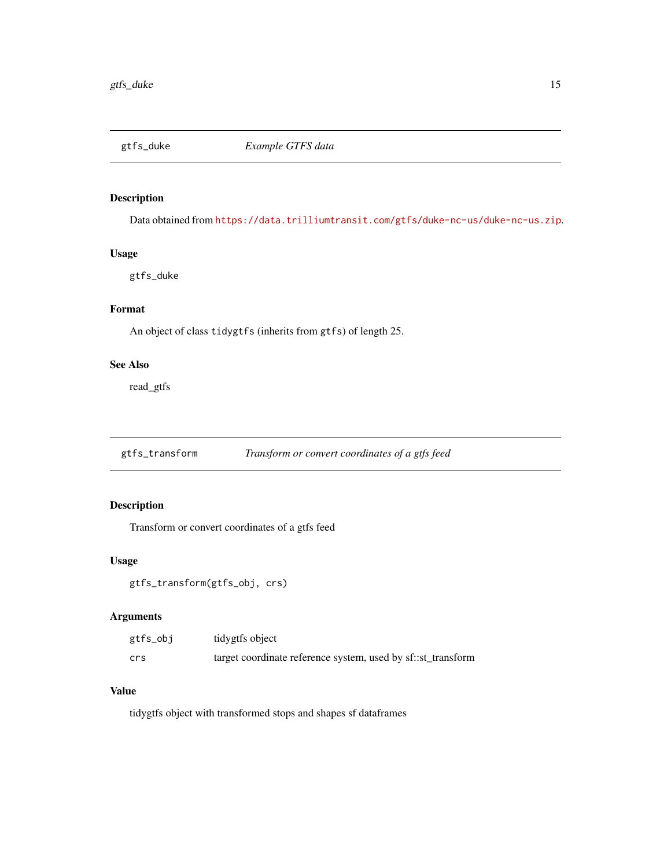<span id="page-14-0"></span>

Data obtained from <https://data.trilliumtransit.com/gtfs/duke-nc-us/duke-nc-us.zip>.

#### Usage

gtfs\_duke

## Format

An object of class tidygtfs (inherits from gtfs) of length 25.

#### See Also

read\_gtfs

gtfs\_transform *Transform or convert coordinates of a gtfs feed*

## Description

Transform or convert coordinates of a gtfs feed

## Usage

```
gtfs_transform(gtfs_obj, crs)
```
## Arguments

| gtfs_obj | tidygtfs object                                              |
|----------|--------------------------------------------------------------|
| crs      | target coordinate reference system, used by sf::st_transform |

#### Value

tidygtfs object with transformed stops and shapes sf dataframes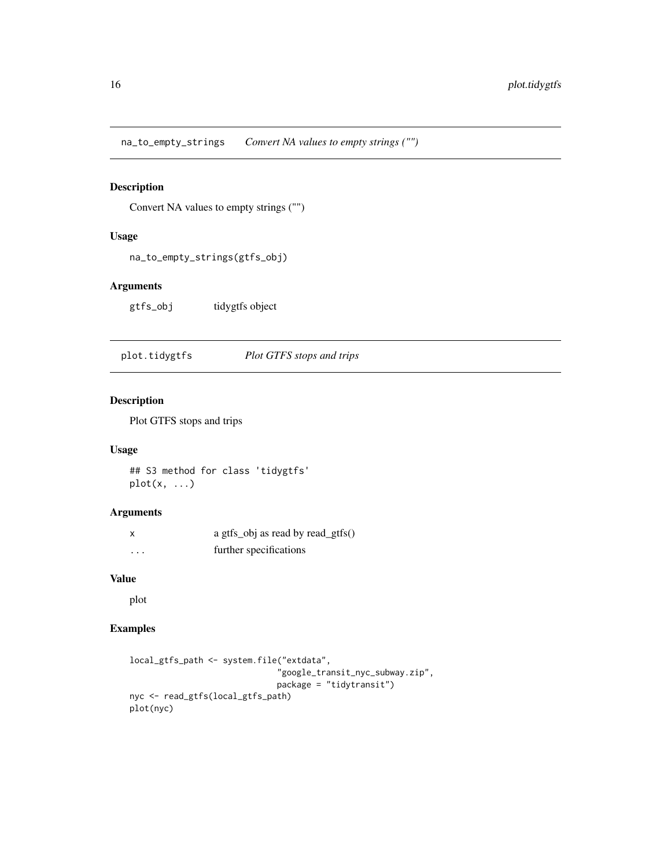<span id="page-15-0"></span>na\_to\_empty\_strings *Convert NA values to empty strings ("")*

## Description

Convert NA values to empty strings ("")

## Usage

na\_to\_empty\_strings(gtfs\_obj)

## Arguments

gtfs\_obj tidygtfs object

plot.tidygtfs *Plot GTFS stops and trips*

## Description

Plot GTFS stops and trips

## Usage

## S3 method for class 'tidygtfs' plot(x, ...)

#### Arguments

| $\boldsymbol{\mathsf{x}}$ | a gtfs_obj as read by read_gtfs() |
|---------------------------|-----------------------------------|
| .                         | further specifications            |

## Value

plot

## Examples

```
local_gtfs_path <- system.file("extdata",
                              "google_transit_nyc_subway.zip",
                              package = "tidytransit")
nyc <- read_gtfs(local_gtfs_path)
plot(nyc)
```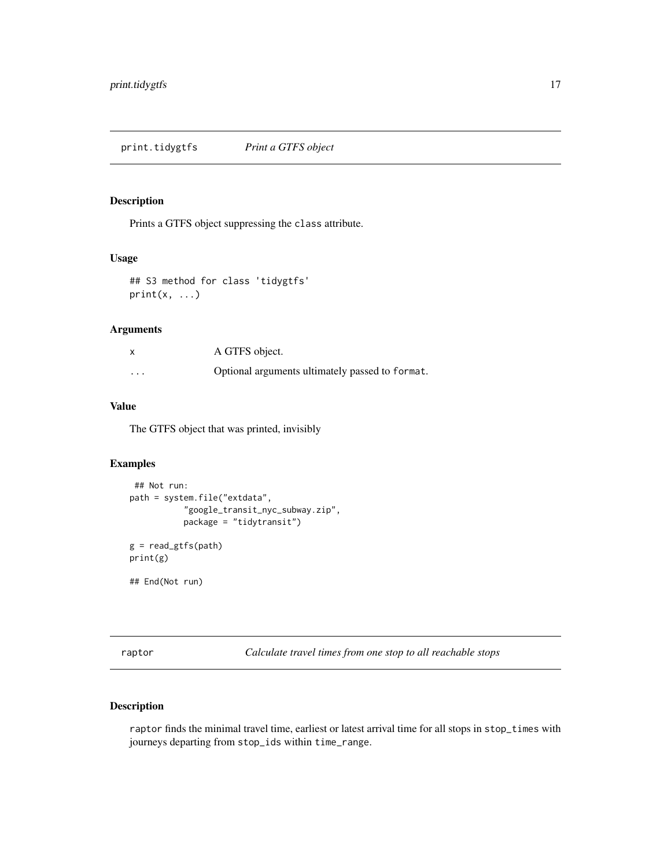<span id="page-16-0"></span>print.tidygtfs *Print a GTFS object*

#### Description

Prints a GTFS object suppressing the class attribute.

## Usage

```
## S3 method for class 'tidygtfs'
print(x, \ldots)
```
#### Arguments

| $\boldsymbol{\mathsf{x}}$ | A GTFS object.                                  |
|---------------------------|-------------------------------------------------|
| $\cdots$                  | Optional arguments ultimately passed to format. |

#### Value

The GTFS object that was printed, invisibly

## Examples

```
## Not run:
path = system.file("extdata",
           "google_transit_nyc_subway.zip",
           package = "tidytransit")
g = read_gtfs(path)
print(g)
## End(Not run)
```
<span id="page-16-1"></span>raptor *Calculate travel times from one stop to all reachable stops*

## Description

raptor finds the minimal travel time, earliest or latest arrival time for all stops in stop\_times with journeys departing from stop\_ids within time\_range.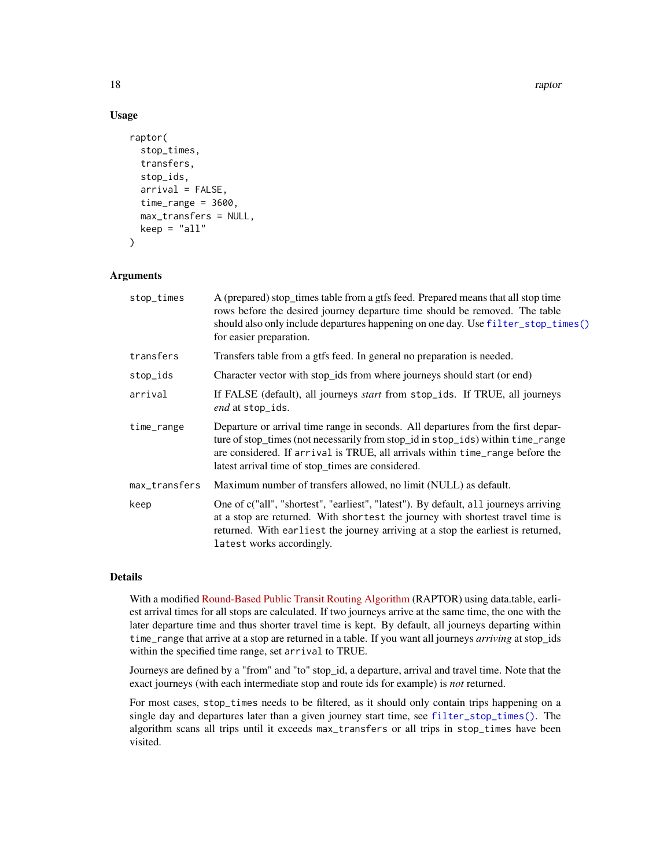18 raptor and the contract of the contract of the contract of the contract of the contract of the contract of the contract of the contract of the contract of the contract of the contract of the contract of the contract of

## Usage

```
raptor(
  stop_times,
  transfers,
  stop_ids,
  arrival = FALSE,time_range = 3600,max_transfers = NULL,
  keep = "all")
```
## Arguments

| stop_times    | A (prepared) stop_times table from a gtfs feed. Prepared means that all stop time<br>rows before the desired journey departure time should be removed. The table<br>should also only include departures happening on one day. Use filter_stop_times()<br>for easier preparation.                          |
|---------------|-----------------------------------------------------------------------------------------------------------------------------------------------------------------------------------------------------------------------------------------------------------------------------------------------------------|
| transfers     | Transfers table from a gtfs feed. In general no preparation is needed.                                                                                                                                                                                                                                    |
| stop_ids      | Character vector with stop_ids from where journeys should start (or end)                                                                                                                                                                                                                                  |
| arrival       | If FALSE (default), all journeys <i>start</i> from stop_ids. If TRUE, all journeys<br>end at stop_ids.                                                                                                                                                                                                    |
| time_range    | Departure or arrival time range in seconds. All departures from the first depar-<br>ture of stop_times (not necessarily from stop_id in stop_ids) within time_range<br>are considered. If arrival is TRUE, all arrivals within time_range before the<br>latest arrival time of stop_times are considered. |
| max_transfers | Maximum number of transfers allowed, no limit (NULL) as default.                                                                                                                                                                                                                                          |
| keep          | One of c("all", "shortest", "earliest", "latest"). By default, all journeys arriving<br>at a stop are returned. With shortest the journey with shortest travel time is<br>returned. With earliest the journey arriving at a stop the earliest is returned,<br>latest works accordingly.                   |

#### Details

With a modified [Round-Based Public Transit Routing Algorithm](https://www.microsoft.com/en-us/research/publication/round-based-public-transit-routing/) (RAPTOR) using data.table, earliest arrival times for all stops are calculated. If two journeys arrive at the same time, the one with the later departure time and thus shorter travel time is kept. By default, all journeys departing within time\_range that arrive at a stop are returned in a table. If you want all journeys *arriving* at stop\_ids within the specified time range, set arrival to TRUE.

Journeys are defined by a "from" and "to" stop\_id, a departure, arrival and travel time. Note that the exact journeys (with each intermediate stop and route ids for example) is *not* returned.

For most cases, stop\_times needs to be filtered, as it should only contain trips happening on a single day and departures later than a given journey start time, see [filter\\_stop\\_times\(\)](#page-8-1). The algorithm scans all trips until it exceeds max\_transfers or all trips in stop\_times have been visited.

<span id="page-17-0"></span>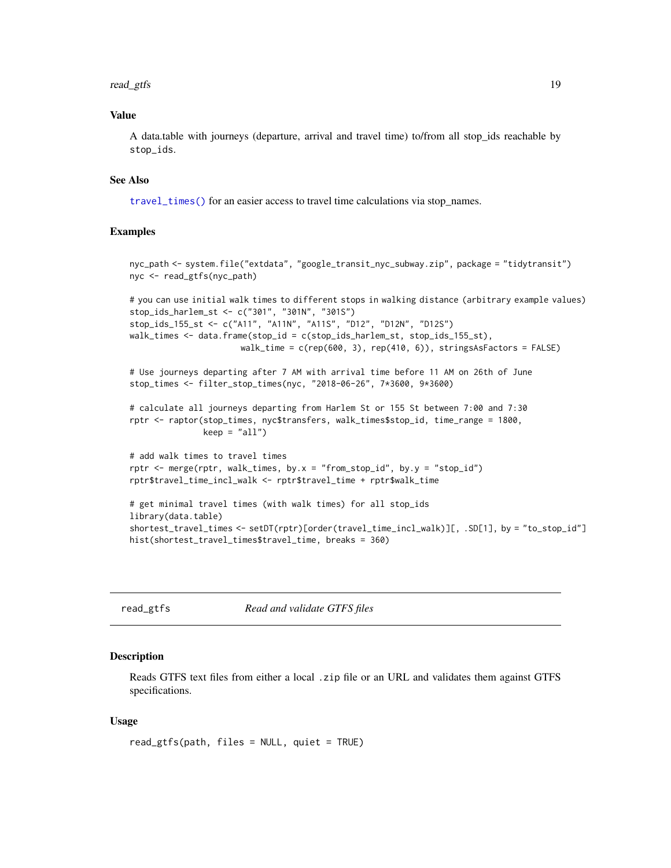#### <span id="page-18-0"></span>read\_gtfs 19

#### Value

A data.table with journeys (departure, arrival and travel time) to/from all stop\_ids reachable by stop\_ids.

## See Also

[travel\\_times\(\)](#page-26-1) for an easier access to travel time calculations via stop\_names.

#### Examples

```
nyc_path <- system.file("extdata", "google_transit_nyc_subway.zip", package = "tidytransit")
nyc <- read_gtfs(nyc_path)
# you can use initial walk times to different stops in walking distance (arbitrary example values)
stop_ids_harlem_st <- c("301", "301N", "301S")
stop_ids_155_st <- c("A11", "A11N", "A11S", "D12", "D12N", "D12S")
walk_times <- data.frame(stop_id = c(stop_ids_harlem_st, stop_ids_155_st),
                      walk_time = c(rep(600, 3), rep(410, 6)), stringsAsFactors = FALSE)
# Use journeys departing after 7 AM with arrival time before 11 AM on 26th of June
stop_times <- filter_stop_times(nyc, "2018-06-26", 7*3600, 9*3600)
# calculate all journeys departing from Harlem St or 155 St between 7:00 and 7:30
rptr <- raptor(stop_times, nyc$transfers, walk_times$stop_id, time_range = 1800,
               keep = "all")# add walk times to travel times
rptr \leq merge(rptr, walk_times, by.x = "from_stop_id", by.y = "stop_id")
rptr$travel_time_incl_walk <- rptr$travel_time + rptr$walk_time
# get minimal travel times (with walk times) for all stop_ids
library(data.table)
shortest_travel_times <- setDT(rptr)[order(travel_time_incl_walk)][, .SD[1], by = "to_stop_id"]
hist(shortest_travel_times$travel_time, breaks = 360)
```
<span id="page-18-1"></span>

read\_gtfs *Read and validate GTFS files*

#### Description

Reads GTFS text files from either a local .zip file or an URL and validates them against GTFS specifications.

#### Usage

read\_gtfs(path, files = NULL, quiet = TRUE)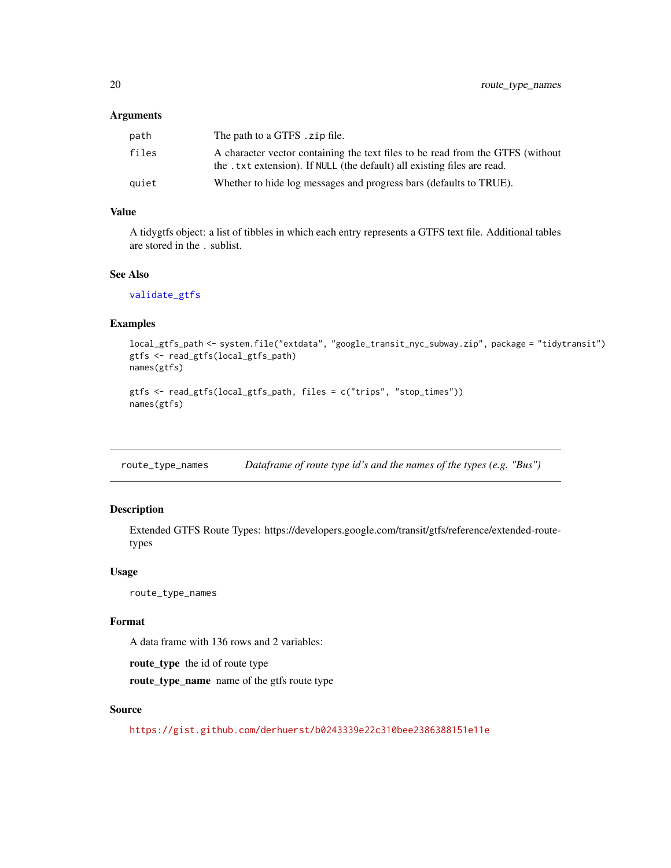#### <span id="page-19-0"></span>Arguments

| path  | The path to a GTFS . zip file.                                                                                                                             |
|-------|------------------------------------------------------------------------------------------------------------------------------------------------------------|
| files | A character vector containing the text files to be read from the GTFS (without<br>the . txt extension). If NULL (the default) all existing files are read. |
| auiet | Whether to hide log messages and progress bars (defaults to TRUE).                                                                                         |

## Value

A tidygtfs object: a list of tibbles in which each entry represents a GTFS text file. Additional tables are stored in the . sublist.

#### See Also

[validate\\_gtfs](#page-28-1)

#### Examples

```
local_gtfs_path <- system.file("extdata", "google_transit_nyc_subway.zip", package = "tidytransit")
gtfs <- read_gtfs(local_gtfs_path)
names(gtfs)
```

```
gtfs <- read_gtfs(local_gtfs_path, files = c("trips", "stop_times"))
names(gtfs)
```
route\_type\_names *Dataframe of route type id's and the names of the types (e.g. "Bus")*

#### Description

Extended GTFS Route Types: https://developers.google.com/transit/gtfs/reference/extended-routetypes

#### Usage

route\_type\_names

#### Format

A data frame with 136 rows and 2 variables:

route\_type the id of route type route\_type\_name name of the gtfs route type

#### Source

<https://gist.github.com/derhuerst/b0243339e22c310bee2386388151e11e>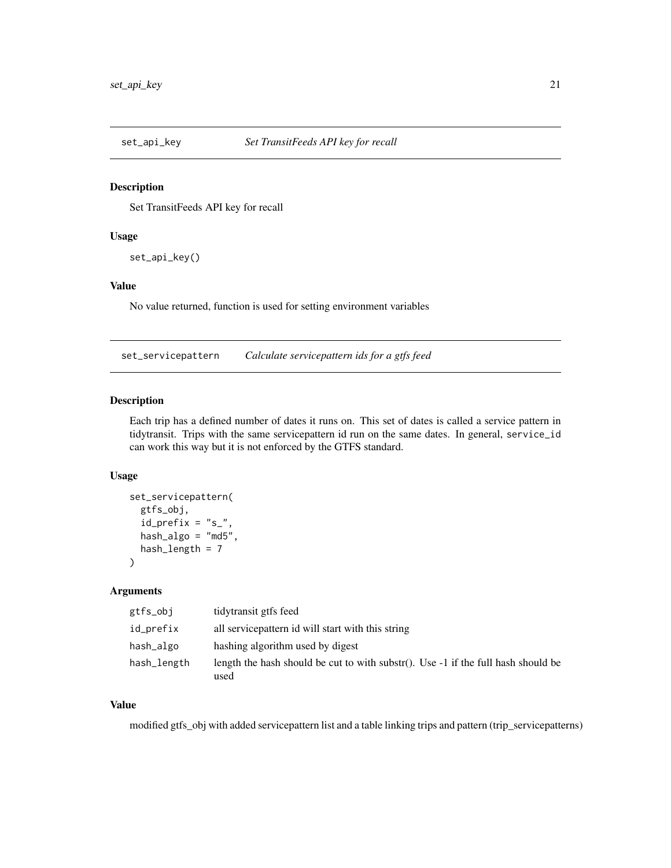<span id="page-20-0"></span>

Set TransitFeeds API key for recall

#### Usage

set\_api\_key()

## Value

No value returned, function is used for setting environment variables

set\_servicepattern *Calculate servicepattern ids for a gtfs feed*

#### Description

Each trip has a defined number of dates it runs on. This set of dates is called a service pattern in tidytransit. Trips with the same servicepattern id run on the same dates. In general, service\_id can work this way but it is not enforced by the GTFS standard.

#### Usage

```
set_servicepattern(
  gtfs_obj,
  id\_prefix = "s'_",hash_algo = "md5",
 hash_length = 7)
```
## Arguments

| gtfs_obj    | tidytransit gtfs feed                                                                       |
|-------------|---------------------------------------------------------------------------------------------|
| id_prefix   | all service pattern id will start with this string                                          |
| hash_algo   | hashing algorithm used by digest                                                            |
| hash_length | length the hash should be cut to with substr(). Use $-1$ if the full hash should be<br>used |

## Value

modified gtfs\_obj with added servicepattern list and a table linking trips and pattern (trip\_servicepatterns)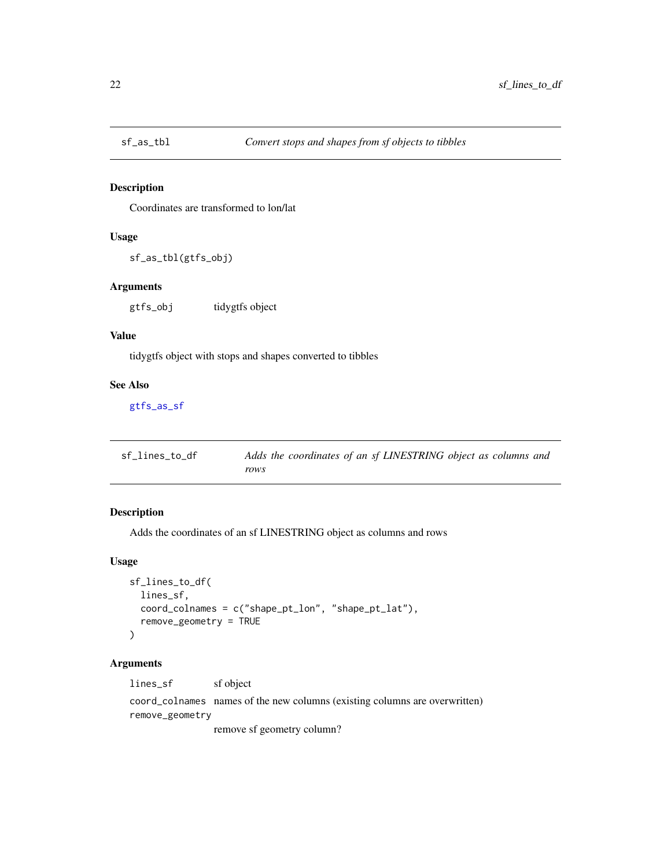<span id="page-21-1"></span><span id="page-21-0"></span>

Coordinates are transformed to lon/lat

#### Usage

sf\_as\_tbl(gtfs\_obj)

## Arguments

gtfs\_obj tidygtfs object

#### Value

tidygtfs object with stops and shapes converted to tibbles

#### See Also

[gtfs\\_as\\_sf](#page-13-1)

| sf_lines_to_df | Adds the coordinates of an sf LINESTRING object as columns and |
|----------------|----------------------------------------------------------------|
|                | rows                                                           |

## Description

Adds the coordinates of an sf LINESTRING object as columns and rows

## Usage

```
sf_lines_to_df(
  lines_sf,
  coord_colnames = c("shape_pt_lon", "shape_pt_lat"),
  remove_geometry = TRUE
)
```
## Arguments

lines\_sf sf object

coord\_colnames names of the new columns (existing columns are overwritten) remove\_geometry

remove sf geometry column?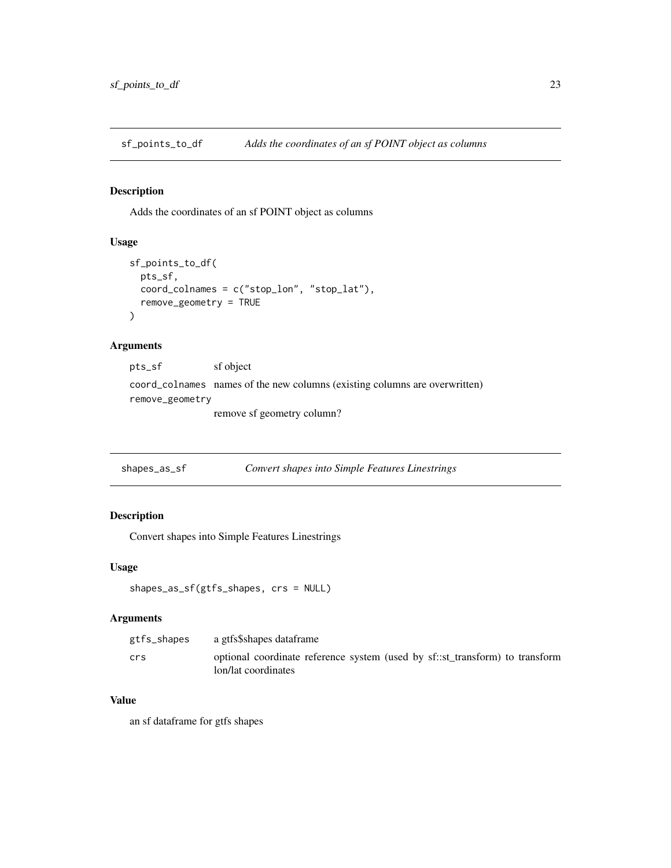<span id="page-22-0"></span>sf\_points\_to\_df *Adds the coordinates of an sf POINT object as columns*

## Description

Adds the coordinates of an sf POINT object as columns

## Usage

```
sf_points_to_df(
 pts_sf,
  coord_colnames = c("stop_lon", "stop_lat"),
  remove_geometry = TRUE
\lambda
```
## Arguments

pts\_sf sf object coord\_colnames names of the new columns (existing columns are overwritten) remove\_geometry remove sf geometry column?

shapes\_as\_sf *Convert shapes into Simple Features Linestrings*

## Description

Convert shapes into Simple Features Linestrings

#### Usage

```
shapes_as_sf(gtfs_shapes, crs = NULL)
```
#### Arguments

| gtfs_shapes | a gtfs\$shapes dataframe                                                                             |
|-------------|------------------------------------------------------------------------------------------------------|
| crs         | optional coordinate reference system (used by sf.: st transform) to transform<br>lon/lat coordinates |

## Value

an sf dataframe for gtfs shapes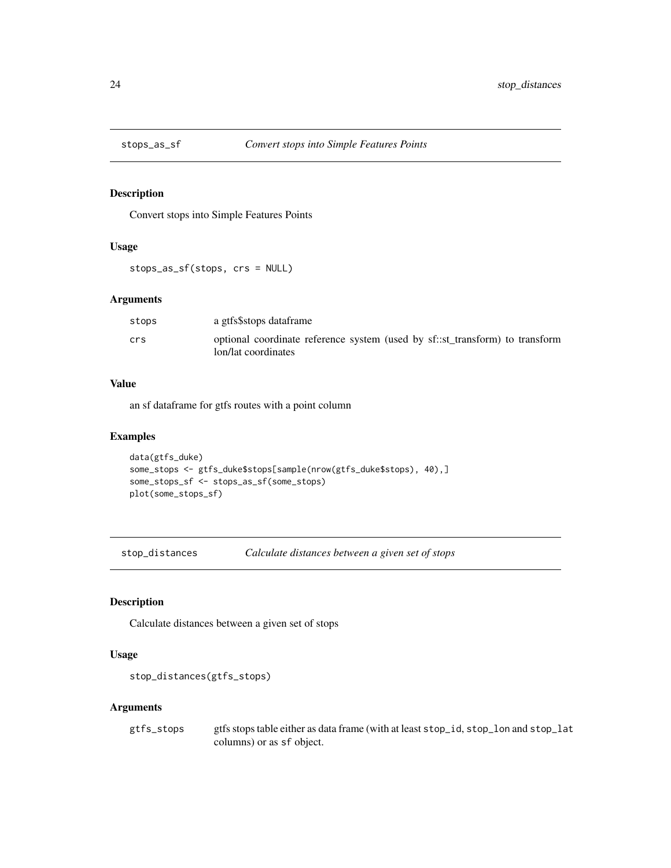<span id="page-23-0"></span>

Convert stops into Simple Features Points

#### Usage

stops\_as\_sf(stops, crs = NULL)

#### Arguments

| stops | a gtfs\$stops dataframe                                                                             |
|-------|-----------------------------------------------------------------------------------------------------|
| crs   | optional coordinate reference system (used by sf::st transform) to transform<br>lon/lat coordinates |

#### Value

an sf dataframe for gtfs routes with a point column

## Examples

```
data(gtfs_duke)
some_stops <- gtfs_duke$stops[sample(nrow(gtfs_duke$stops), 40),]
some_stops_sf <- stops_as_sf(some_stops)
plot(some_stops_sf)
```
stop\_distances *Calculate distances between a given set of stops*

## Description

Calculate distances between a given set of stops

## Usage

```
stop_distances(gtfs_stops)
```
#### Arguments

gtfs\_stops gtfs stops table either as data frame (with at least stop\_id, stop\_lon and stop\_lat columns) or as sf object.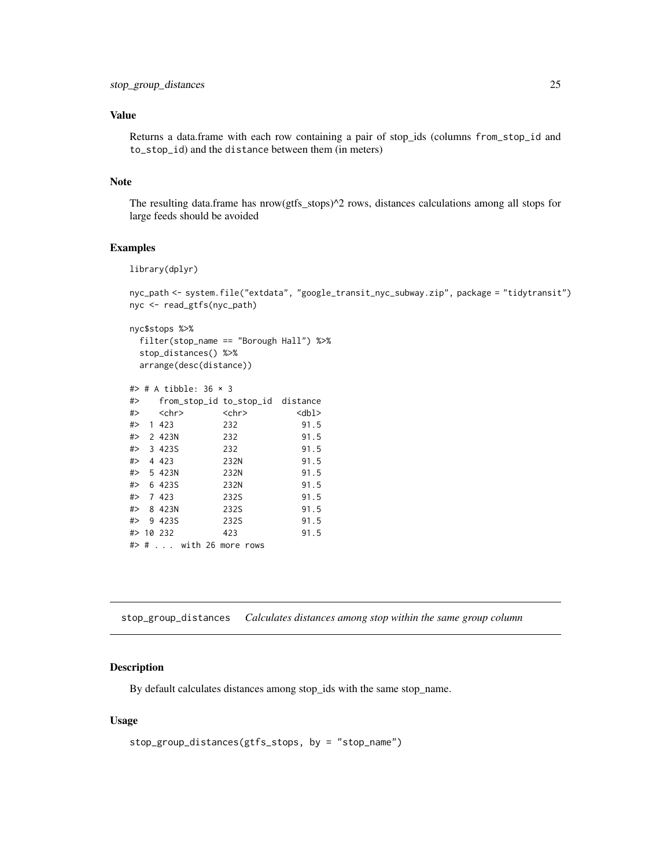## <span id="page-24-0"></span>Value

Returns a data.frame with each row containing a pair of stop\_ids (columns from\_stop\_id and to\_stop\_id) and the distance between them (in meters)

## Note

The resulting data.frame has nrow(gtfs\_stops)^2 rows, distances calculations among all stops for large feeds should be avoided

## Examples

library(dplyr)

```
nyc_path <- system.file("extdata", "google_transit_nyc_subway.zip", package = "tidytransit")
nyc <- read_gtfs(nyc_path)
```

```
nyc$stops %>%
 filter(stop_name == "Borough Hall") %>%
 stop_distances() %>%
 arrange(desc(distance))
```

| # $\Rightarrow$ # A tibble: 36 $\times$ 3 |             |             |
|-------------------------------------------|-------------|-------------|
| #> from_stop_id to_stop_id distance       |             |             |
| #> <chr></chr>                            | $<$ chr $>$ | $<$ dbl $>$ |
| # > 1423                                  | 232         | 91.5        |
| $# > 2$ 423N                              | 232         | 91.5        |
| #> 3423S                                  | 232         | 91.5        |
| # > 4423                                  | 232N        | 91.5        |
| # > 5423N                                 | 232N        | 91.5        |
| $#$ 6 423S                                | 232N        | 91.5        |
| # > 7423                                  | 232S        | 91.5        |
| #> 8 423N                                 | 232S        | 91.5        |
| # > 9423S                                 | 232S        | 91.5        |
| #> 10 232                                 | 423         | 91.5        |
| #> #  with 26 more rows                   |             |             |

<span id="page-24-1"></span>stop\_group\_distances *Calculates distances among stop within the same group column*

#### Description

By default calculates distances among stop\_ids with the same stop\_name.

#### Usage

```
stop_group_distances(gtfs_stops, by = "stop_name")
```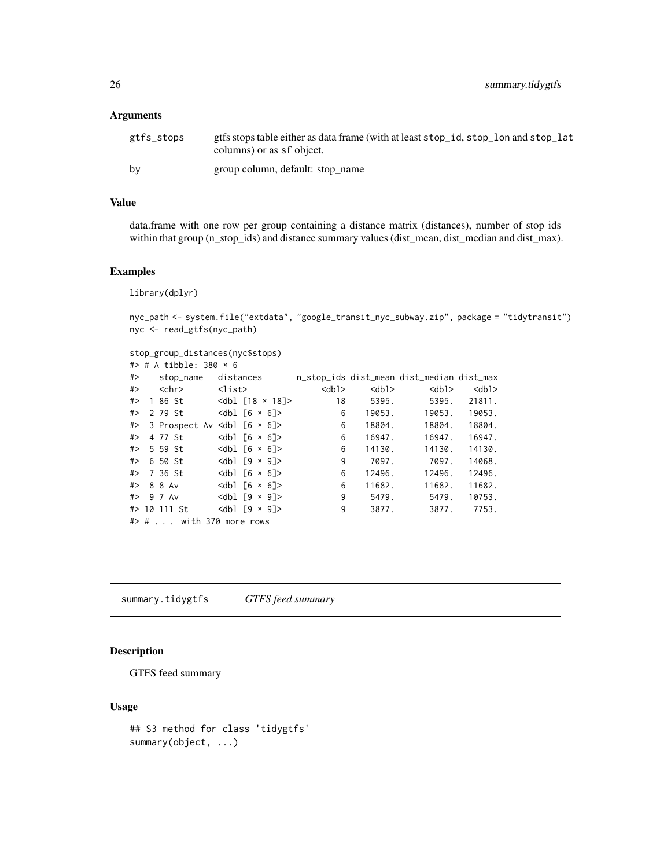#### <span id="page-25-0"></span>Arguments

| gtfs_stops | gtfs stops table either as data frame (with at least stop_id, stop_lon and stop_lat<br>columns) or as sf object. |
|------------|------------------------------------------------------------------------------------------------------------------|
| bv         | group column, default: stop name                                                                                 |

#### Value

data.frame with one row per group containing a distance matrix (distances), number of stop ids within that group (n\_stop\_ids) and distance summary values (dist\_mean, dist\_median and dist\_max).

#### Examples

library(dplyr)

nyc\_path <- system.file("extdata", "google\_transit\_nyc\_subway.zip", package = "tidytransit") nyc <- read\_gtfs(nyc\_path)

```
stop_group_distances(nyc$stops)
# \ge ^{\circ} + ^{\circ} + ^{\circ} + ^{\circ} + ^{\circ} 380 \times 6
```

|    | π⁄ π A LIDDIC. JOV ^ U   |                                                          |             |             |                                           |             |
|----|--------------------------|----------------------------------------------------------|-------------|-------------|-------------------------------------------|-------------|
| #> | stop_name                | distances                                                |             |             | n_stop_ids dist_mean dist_median dist_max |             |
| #> | <chr></chr>              | <list></list>                                            | $<$ dbl $>$ | <dbl></dbl> | $<$ dbl $>$                               | $<$ dbl $>$ |
| #> | 1 86 St                  |                                                          | 18          | 5395.       | 5395.                                     | 21811.      |
| #> | 2 79 St                  |                                                          | 6           | 19053.      | 19053.                                    | 19053.      |
| #> |                          | 3 Prospect Av $\left  \text{db} \right $ [6 $\times$ 6]> | 6           | 18804.      | 18804.                                    | 18804.      |
| #> | 4 77 St                  | $<$ dbl $\lceil 6 \times 6 \rceil$ >                     | 6           | 16947.      | 16947.                                    | 16947.      |
| #> | 5 59 St                  | $<$ dbl $\lceil 6 \times 6 \rceil$ >                     | 6           | 14130.      | 14130.                                    | 14130.      |
| #> | 6 50 St                  | $\left\{ \text{db} \right\}$ [9 $\times$ 9]>             | 9           | 7097.       | 7097.                                     | 14068.      |
|    | #> 736 St                | $<$ dbl $\lceil 6 \times 6 \rceil$ >                     | 6           | 12496.      | 12496.                                    | 12496.      |
|    | #> 88Av                  | $<$ dbl $\lceil 6 \times 6 \rceil$ >                     | 6           | 11682.      | 11682.                                    | 11682.      |
|    | #> 97 Av                 | $<$ dbl $\lceil 9 \times 9 \rceil$ >                     | 9           | 5479.       | 5479.                                     | 10753.      |
|    | #> 10 111 St             | $<$ dbl $\lceil 9 \times 9 \rceil$ >                     | 9           | 3877.       | 3877.                                     | 7753.       |
|    | #> #  with 370 more rows |                                                          |             |             |                                           |             |

summary.tidygtfs *GTFS feed summary*

## Description

GTFS feed summary

## Usage

```
## S3 method for class 'tidygtfs'
summary(object, ...)
```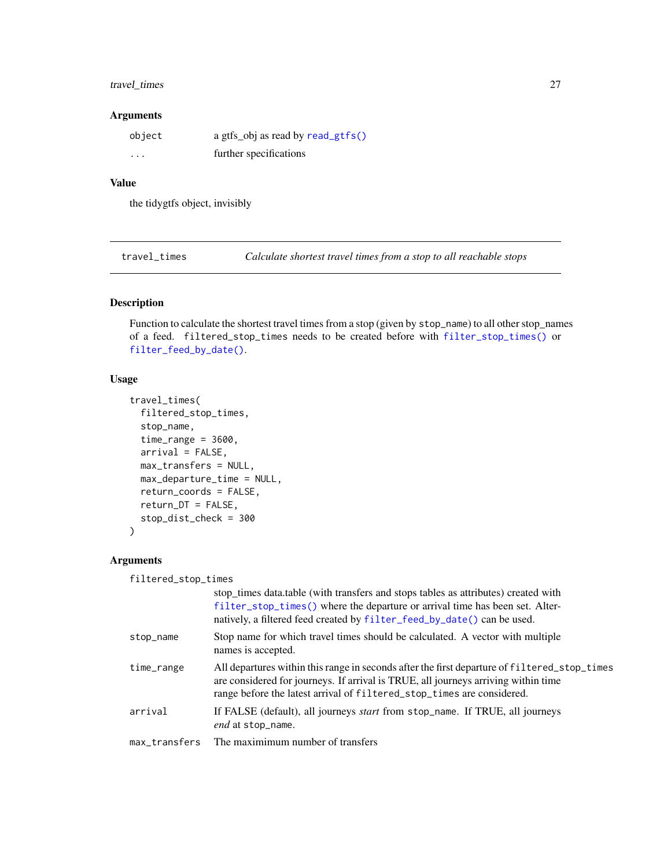## <span id="page-26-0"></span>travel\_times 27

#### Arguments

| object   | a gtfs_obj as read by read_gtfs() |
|----------|-----------------------------------|
| $\cdots$ | further specifications            |

#### Value

the tidygtfs object, invisibly

<span id="page-26-1"></span>travel\_times *Calculate shortest travel times from a stop to all reachable stops*

## Description

Function to calculate the shortest travel times from a stop (given by stop\_name) to all other stop\_names of a feed. filtered\_stop\_times needs to be created before with [filter\\_stop\\_times\(\)](#page-8-1) or [filter\\_feed\\_by\\_date\(\)](#page-6-2).

## Usage

```
travel_times(
  filtered_stop_times,
  stop_name,
  time_range = 3600,
  arrival = FALSE,
 max_transfers = NULL,
 max_departure_time = NULL,
  return_coords = FALSE,
  return_DT = FALSE,
  stop_dist_check = 300
\mathcal{E}
```
## Arguments

filtered\_stop\_times

|               | stop_times data.table (with transfers and stops tables as attributes) created with<br>filter_stop_times() where the departure or arrival time has been set. Alter-<br>natively, a filtered feed created by filter_feed_by_date() can be used.                |
|---------------|--------------------------------------------------------------------------------------------------------------------------------------------------------------------------------------------------------------------------------------------------------------|
| stop_name     | Stop name for which travel times should be calculated. A vector with multiple<br>names is accepted.                                                                                                                                                          |
| time_range    | All departures within this range in seconds after the first departure of filtered_stop_times<br>are considered for journeys. If arrival is TRUE, all journeys arriving within time<br>range before the latest arrival of filtered_stop_times are considered. |
| arrival       | If FALSE (default), all journeys <i>start</i> from stop_name. If TRUE, all journeys<br>end at stop_name.                                                                                                                                                     |
| max transfers | The maximimum number of transfers                                                                                                                                                                                                                            |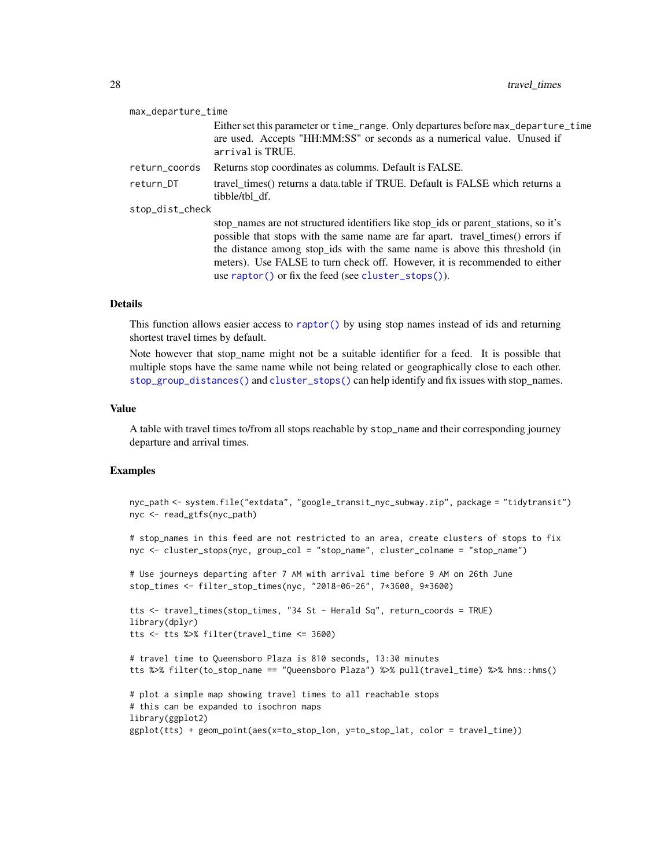<span id="page-27-0"></span>

| max_departure_time |                                                                                                                                                                                                                                                                                                                                                                                          |
|--------------------|------------------------------------------------------------------------------------------------------------------------------------------------------------------------------------------------------------------------------------------------------------------------------------------------------------------------------------------------------------------------------------------|
|                    | Either set this parameter or time_range. Only departures before max_departure_time<br>are used. Accepts "HH:MM:SS" or seconds as a numerical value. Unused if<br>arrival is TRUE.                                                                                                                                                                                                        |
| return_coords      | Returns stop coordinates as columns. Default is FALSE.                                                                                                                                                                                                                                                                                                                                   |
| return_DT          | travel times() returns a data table if TRUE. Default is FALSE which returns a<br>tibble/tbl df.                                                                                                                                                                                                                                                                                          |
| stop_dist_check    |                                                                                                                                                                                                                                                                                                                                                                                          |
|                    | stop names are not structured identifiers like stop ids or parent stations, so it's<br>possible that stops with the same name are far apart. travel_times() errors if<br>the distance among stop_ids with the same name is above this threshold (in<br>meters). Use FALSE to turn check off. However, it is recommended to either<br>use raptor() or fix the feed (see cluster_stops()). |

#### Details

This function allows easier access to [raptor\(\)](#page-16-1) by using stop names instead of ids and returning shortest travel times by default.

Note however that stop\_name might not be a suitable identifier for a feed. It is possible that multiple stops have the same name while not being related or geographically close to each other. [stop\\_group\\_distances\(\)](#page-24-1) and [cluster\\_stops\(\)](#page-2-1) can help identify and fix issues with stop\_names.

#### Value

A table with travel times to/from all stops reachable by stop\_name and their corresponding journey departure and arrival times.

#### Examples

```
nyc_path <- system.file("extdata", "google_transit_nyc_subway.zip", package = "tidytransit")
nyc <- read_gtfs(nyc_path)
# stop_names in this feed are not restricted to an area, create clusters of stops to fix
nyc <- cluster_stops(nyc, group_col = "stop_name", cluster_colname = "stop_name")
# Use journeys departing after 7 AM with arrival time before 9 AM on 26th June
stop_times <- filter_stop_times(nyc, "2018-06-26", 7*3600, 9*3600)
tts <- travel_times(stop_times, "34 St - Herald Sq", return_coords = TRUE)
library(dplyr)
tts <- tts %>% filter(travel_time <= 3600)
# travel time to Queensboro Plaza is 810 seconds, 13:30 minutes
tts %>% filter(to_stop_name == "Queensboro Plaza") %>% pull(travel_time) %>% hms::hms()
# plot a simple map showing travel times to all reachable stops
# this can be expanded to isochron maps
library(ggplot2)
ggplot(tts) + geom_point(aes(x=to_stop_lon, y=to_stop_lat, color = travel_time))
```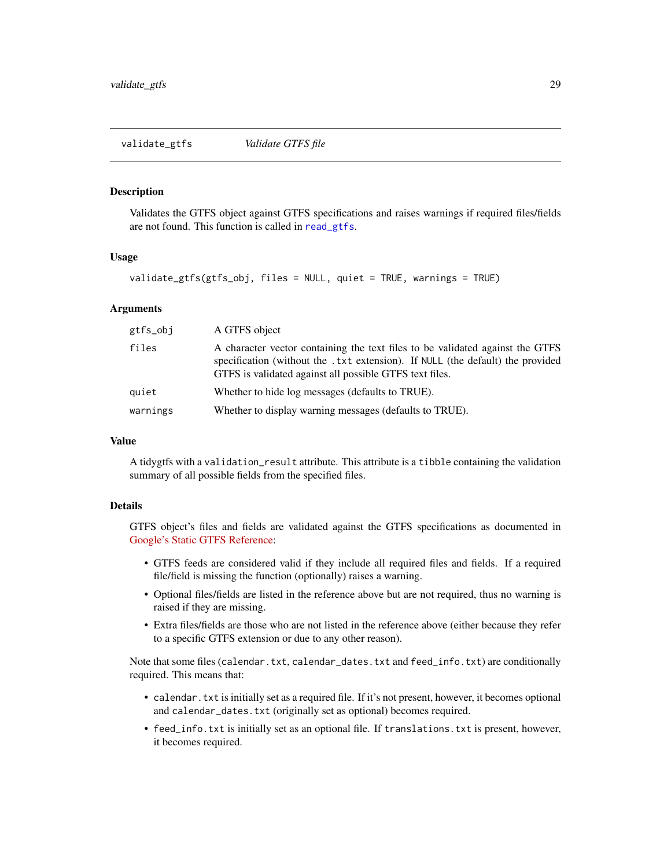<span id="page-28-1"></span><span id="page-28-0"></span>Validates the GTFS object against GTFS specifications and raises warnings if required files/fields are not found. This function is called in [read\\_gtfs](#page-18-1).

#### Usage

```
validate_gtfs(gtfs_obj, files = NULL, quiet = TRUE, warnings = TRUE)
```
#### Arguments

| gtfs_obj | A GTFS object                                                                                                                                                                                                              |
|----------|----------------------------------------------------------------------------------------------------------------------------------------------------------------------------------------------------------------------------|
| files    | A character vector containing the text files to be validated against the GTFS<br>specification (without the .txt extension). If NULL (the default) the provided<br>GTFS is validated against all possible GTFS text files. |
| quiet    | Whether to hide log messages (defaults to TRUE).                                                                                                                                                                           |
| warnings | Whether to display warning messages (defaults to TRUE).                                                                                                                                                                    |

#### Value

A tidygtfs with a validation\_result attribute. This attribute is a tibble containing the validation summary of all possible fields from the specified files.

#### Details

GTFS object's files and fields are validated against the GTFS specifications as documented in [Google's Static GTFS Reference:](https://developers.google.com/transit/gtfs/reference)

- GTFS feeds are considered valid if they include all required files and fields. If a required file/field is missing the function (optionally) raises a warning.
- Optional files/fields are listed in the reference above but are not required, thus no warning is raised if they are missing.
- Extra files/fields are those who are not listed in the reference above (either because they refer to a specific GTFS extension or due to any other reason).

Note that some files (calendar.txt, calendar\_dates.txt and feed\_info.txt) are conditionally required. This means that:

- calendar.txt is initially set as a required file. If it's not present, however, it becomes optional and calendar\_dates.txt (originally set as optional) becomes required.
- feed\_info.txt is initially set as an optional file. If translations.txt is present, however, it becomes required.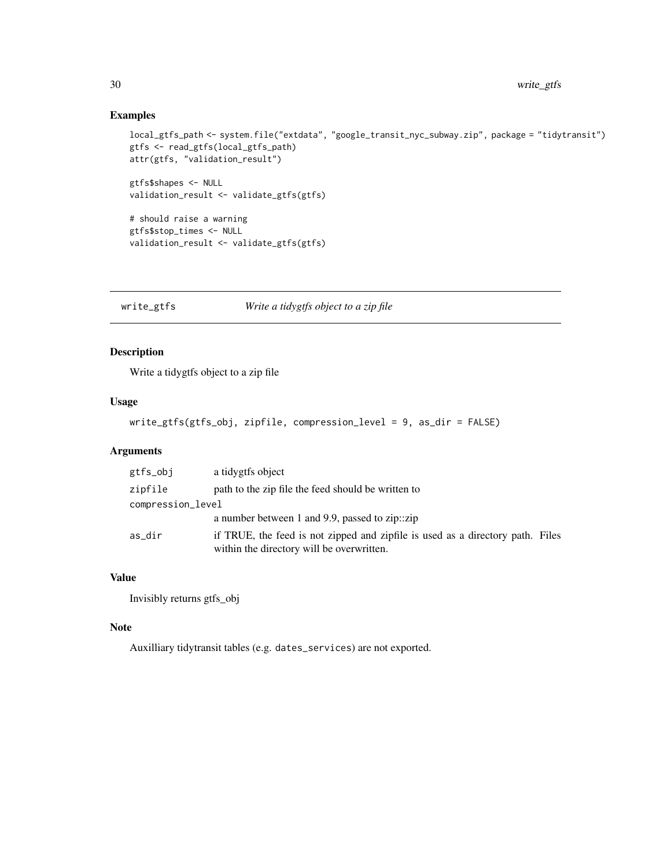## Examples

```
local_gtfs_path <- system.file("extdata", "google_transit_nyc_subway.zip", package = "tidytransit")
gtfs <- read_gtfs(local_gtfs_path)
attr(gtfs, "validation_result")
gtfs$shapes <- NULL
validation_result <- validate_gtfs(gtfs)
# should raise a warning
gtfs$stop_times <- NULL
validation_result <- validate_gtfs(gtfs)
```
write\_gtfs *Write a tidygtfs object to a zip file*

## Description

Write a tidygtfs object to a zip file

#### Usage

```
write_gtfs(gtfs_obj, zipfile, compression_level = 9, as_dir = FALSE)
```
## Arguments

| gtfs_obj          | a tidygtfs object                                                                                                           |  |
|-------------------|-----------------------------------------------------------------------------------------------------------------------------|--|
| zipfile           | path to the zip file the feed should be written to                                                                          |  |
| compression_level |                                                                                                                             |  |
|                   | a number between 1 and 9.9, passed to zip: $\chi$ zip                                                                       |  |
| as_dir            | if TRUE, the feed is not zipped and zipfile is used as a directory path. Files<br>within the directory will be overwritten. |  |

## Value

Invisibly returns gtfs\_obj

#### Note

Auxilliary tidytransit tables (e.g. dates\_services) are not exported.

<span id="page-29-0"></span>